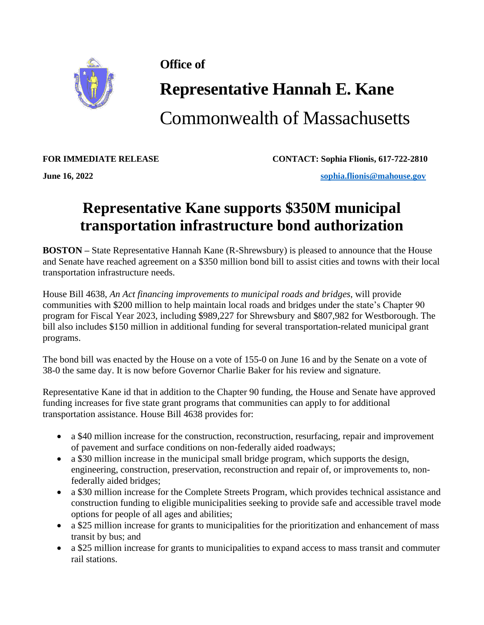

**Office of** 

## **Representative Hannah E. Kane**

Commonwealth of Massachusetts

**FOR IMMEDIATE RELEASE CONTACT: Sophia Flionis, 617-722-2810**

**June 16, 2022 [sophia.flionis@mahouse.gov](mailto:sophia.flionis@mahouse.gov)**

## **Representative Kane supports \$350M municipal transportation infrastructure bond authorization**

**BOSTON –** State Representative Hannah Kane (R-Shrewsbury) is pleased to announce that the House and Senate have reached agreement on a \$350 million bond bill to assist cities and towns with their local transportation infrastructure needs.

House Bill 4638, *An Act financing improvements to municipal roads and bridges*, will provide communities with \$200 million to help maintain local roads and bridges under the state's Chapter 90 program for Fiscal Year 2023, including \$989,227 for Shrewsbury and \$807,982 for Westborough. The bill also includes \$150 million in additional funding for several transportation-related municipal grant programs.

The bond bill was enacted by the House on a vote of 155-0 on June 16 and by the Senate on a vote of 38-0 the same day. It is now before Governor Charlie Baker for his review and signature.

Representative Kane id that in addition to the Chapter 90 funding, the House and Senate have approved funding increases for five state grant programs that communities can apply to for additional transportation assistance. House Bill 4638 provides for:

- a \$40 million increase for the construction, reconstruction, resurfacing, repair and improvement of pavement and surface conditions on non-federally aided roadways;
- a \$30 million increase in the municipal small bridge program, which supports the design, engineering, construction, preservation, reconstruction and repair of, or improvements to, nonfederally aided bridges;
- a \$30 million increase for the Complete Streets Program, which provides technical assistance and construction funding to eligible municipalities seeking to provide safe and accessible travel mode options for people of all ages and abilities;
- a \$25 million increase for grants to municipalities for the prioritization and enhancement of mass transit by bus; and
- a \$25 million increase for grants to municipalities to expand access to mass transit and commuter rail stations.